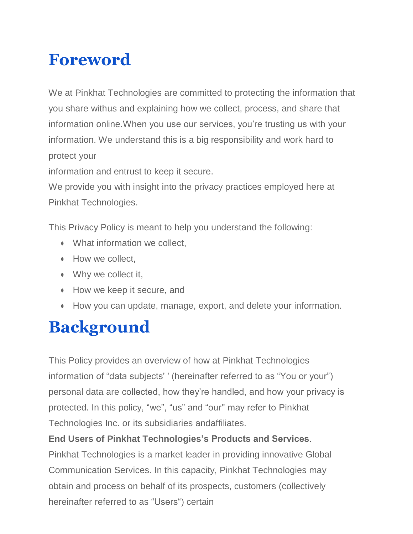### **Foreword**

We at Pinkhat Technologies are committed to protecting the information that you share withus and explaining how we collect, process, and share that information online.When you use our services, you're trusting us with your information. We understand this is a big responsibility and work hard to protect your

information and entrust to keep it secure.

We provide you with insight into the privacy practices employed here at Pinkhat Technologies.

This Privacy Policy is meant to help you understand the following:

- What information we collect.
- How we collect,
- Why we collect it,
- How we keep it secure, and
- How you can update, manage, export, and delete your information.

# **Background**

This Policy provides an overview of how at Pinkhat Technologies information of "data subjects' ' (hereinafter referred to as "You or your") personal data are collected, how they're handled, and how your privacy is protected. In this policy, "we", "us" and "our'' may refer to Pinkhat Technologies Inc. or its subsidiaries andaffiliates.

#### **End Users of Pinkhat Technologies's Products and Services**.

Pinkhat Technologies is a market leader in providing innovative Global Communication Services. In this capacity, Pinkhat Technologies may obtain and process on behalf of its prospects, customers (collectively hereinafter referred to as "Users") certain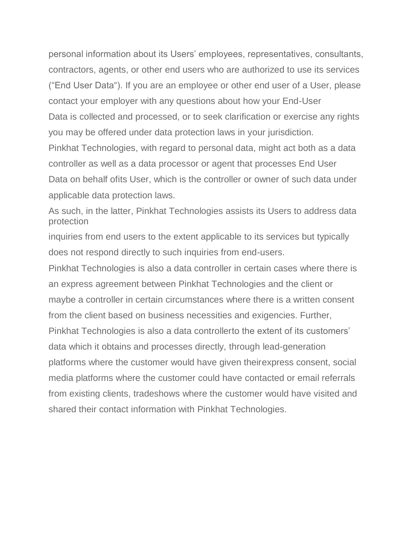personal information about its Users' employees, representatives, consultants, contractors, agents, or other end users who are authorized to use its services ("End User Data"). If you are an employee or other end user of a User, please contact your employer with any questions about how your End-User Data is collected and processed, or to seek clarification or exercise any rights you may be offered under data protection laws in your jurisdiction.

Pinkhat Technologies, with regard to personal data, might act both as a data controller as well as a data processor or agent that processes End User Data on behalf ofits User, which is the controller or owner of such data under applicable data protection laws.

As such, in the latter, Pinkhat Technologies assists its Users to address data protection

inquiries from end users to the extent applicable to its services but typically does not respond directly to such inquiries from end-users.

Pinkhat Technologies is also a data controller in certain cases where there is an express agreement between Pinkhat Technologies and the client or maybe a controller in certain circumstances where there is a written consent from the client based on business necessities and exigencies. Further, Pinkhat Technologies is also a data controllerto the extent of its customers' data which it obtains and processes directly, through lead-generation platforms where the customer would have given theirexpress consent, social media platforms where the customer could have contacted or email referrals from existing clients, tradeshows where the customer would have visited and shared their contact information with Pinkhat Technologies.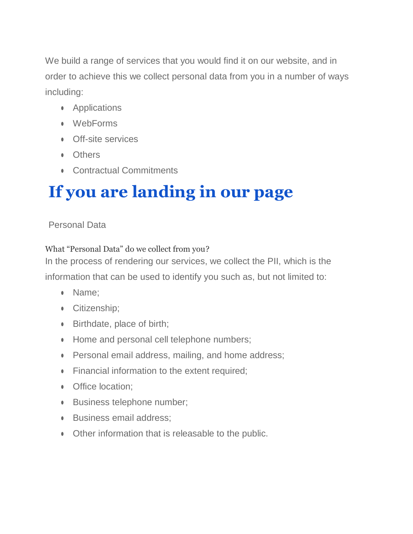We build a range of services that you would find it on our website, and in order to achieve this we collect personal data from you in a number of ways including:

- **•** Applications
- WebForms
- Off-site services
- Others
- Contractual Commitments

# **If you are landing in our page**

#### Personal Data

#### What "Personal Data" do we collect from you?

In the process of rendering our services, we collect the PII, which is the information that can be used to identify you such as, but not limited to:

- Name;
- **•** Citizenship;
- Birthdate, place of birth;
- Home and personal cell telephone numbers;
- Personal email address, mailing, and home address;
- Financial information to the extent required;
- Office location:
- Business telephone number;
- Business email address;
- Other information that is releasable to the public.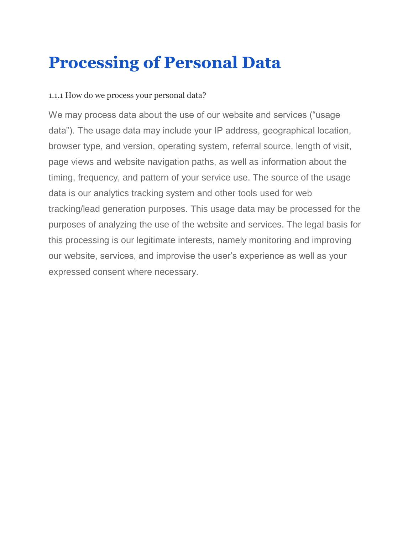#### **Processing of Personal Data**

#### 1.1.1 How do we process your personal data?

We may process data about the use of our website and services ("usage data"). The usage data may include your IP address, geographical location, browser type, and version, operating system, referral source, length of visit, page views and website navigation paths, as well as information about the timing, frequency, and pattern of your service use. The source of the usage data is our analytics tracking system and other tools used for web tracking/lead generation purposes. This usage data may be processed for the purposes of analyzing the use of the website and services. The legal basis for this processing is our legitimate interests, namely monitoring and improving our website, services, and improvise the user's experience as well as your expressed consent where necessary.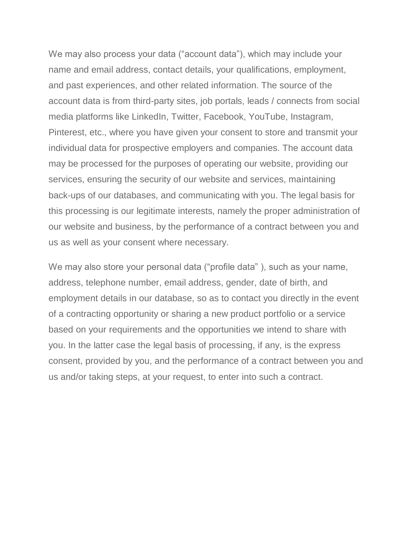We may also process your data ("account data"), which may include your name and email address, contact details, your qualifications, employment, and past experiences, and other related information. The source of the account data is from third-party sites, job portals, leads / connects from social media platforms like LinkedIn, Twitter, Facebook, YouTube, Instagram, Pinterest, etc., where you have given your consent to store and transmit your individual data for prospective employers and companies. The account data may be processed for the purposes of operating our website, providing our services, ensuring the security of our website and services, maintaining back-ups of our databases, and communicating with you. The legal basis for this processing is our legitimate interests, namely the proper administration of our website and business, by the performance of a contract between you and us as well as your consent where necessary.

We may also store your personal data ("profile data"), such as your name, address, telephone number, email address, gender, date of birth, and employment details in our database, so as to contact you directly in the event of a contracting opportunity or sharing a new product portfolio or a service based on your requirements and the opportunities we intend to share with you. In the latter case the legal basis of processing, if any, is the express consent, provided by you, and the performance of a contract between you and us and/or taking steps, at your request, to enter into such a contract.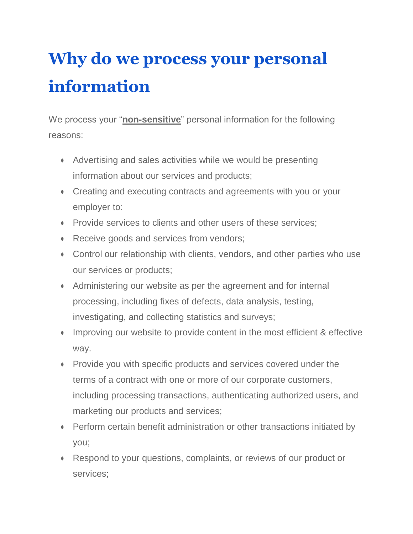# **Why do we process your personal information**

We process your "**non-sensitive**" personal information for the following reasons:

- Advertising and sales activities while we would be presenting information about our services and products;
- Creating and executing contracts and agreements with you or your employer to:
- Provide services to clients and other users of these services;
- Receive goods and services from vendors;
- Control our relationship with clients, vendors, and other parties who use our services or products;
- Administering our website as per the agreement and for internal processing, including fixes of defects, data analysis, testing, investigating, and collecting statistics and surveys;
- Improving our website to provide content in the most efficient & effective way.
- Provide you with specific products and services covered under the terms of a contract with one or more of our corporate customers, including processing transactions, authenticating authorized users, and marketing our products and services;
- Perform certain benefit administration or other transactions initiated by you;
- Respond to your questions, complaints, or reviews of our product or services;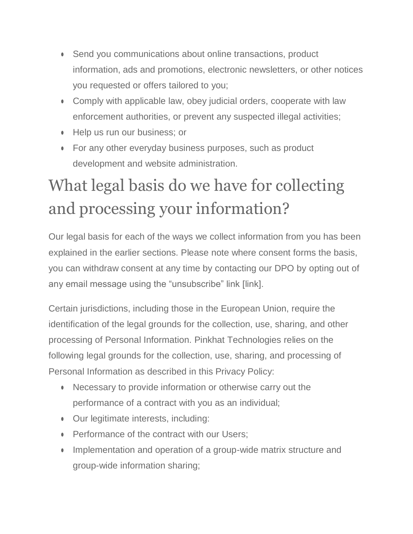- Send you communications about online transactions, product information, ads and promotions, electronic newsletters, or other notices you requested or offers tailored to you;
- Comply with applicable law, obey judicial orders, cooperate with law enforcement authorities, or prevent any suspected illegal activities;
- Help us run our business; or
- For any other everyday business purposes, such as product development and website administration.

# What legal basis do we have for collecting and processing your information?

Our legal basis for each of the ways we collect information from you has been explained in the earlier sections. Please note where consent forms the basis, you can withdraw consent at any time by contacting our DPO by opting out of any email message using the "unsubscribe" link [link].

Certain jurisdictions, including those in the European Union, require the identification of the legal grounds for the collection, use, sharing, and other processing of Personal Information. Pinkhat Technologies relies on the following legal grounds for the collection, use, sharing, and processing of Personal Information as described in this Privacy Policy:

- Necessary to provide information or otherwise carry out the performance of a contract with you as an individual;
- Our legitimate interests, including:
- Performance of the contract with our Users;
- Implementation and operation of a group-wide matrix structure and group-wide information sharing;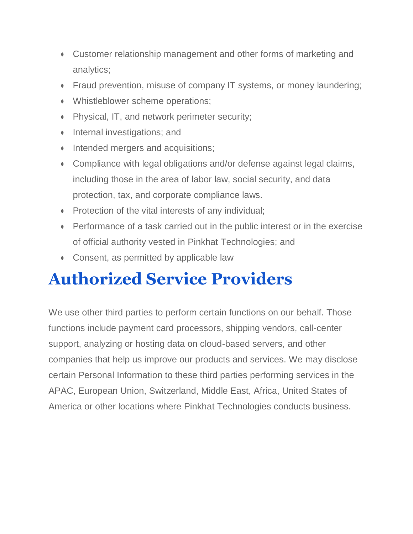- Customer relationship management and other forms of marketing and analytics;
- Fraud prevention, misuse of company IT systems, or money laundering;
- Whistleblower scheme operations;
- Physical, IT, and network perimeter security;
- Internal investigations; and
- Intended mergers and acquisitions;
- Compliance with legal obligations and/or defense against legal claims, including those in the area of labor law, social security, and data protection, tax, and corporate compliance laws.
- Protection of the vital interests of any individual;
- Performance of a task carried out in the public interest or in the exercise of official authority vested in Pinkhat Technologies; and
- Consent, as permitted by applicable law

### **Authorized Service Providers**

We use other third parties to perform certain functions on our behalf. Those functions include payment card processors, shipping vendors, call-center support, analyzing or hosting data on cloud-based servers, and other companies that help us improve our products and services. We may disclose certain Personal Information to these third parties performing services in the APAC, European Union, Switzerland, Middle East, Africa, United States of America or other locations where Pinkhat Technologies conducts business.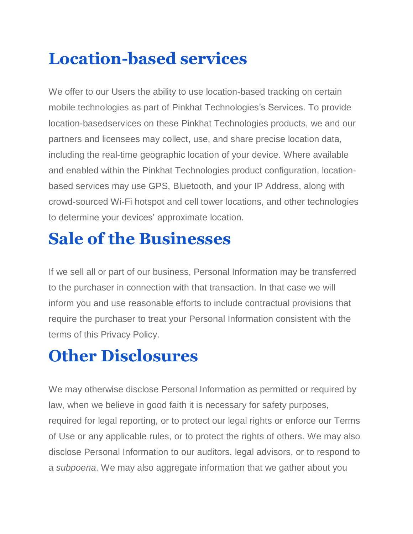### **Location-based services**

We offer to our Users the ability to use location-based tracking on certain mobile technologies as part of Pinkhat Technologies's Services. To provide location-basedservices on these Pinkhat Technologies products, we and our partners and licensees may collect, use, and share precise location data, including the real-time geographic location of your device. Where available and enabled within the Pinkhat Technologies product configuration, locationbased services may use GPS, Bluetooth, and your IP Address, along with crowd-sourced Wi-Fi hotspot and cell tower locations, and other technologies to determine your devices' approximate location.

### **Sale of the Businesses**

If we sell all or part of our business, Personal Information may be transferred to the purchaser in connection with that transaction. In that case we will inform you and use reasonable efforts to include contractual provisions that require the purchaser to treat your Personal Information consistent with the terms of this Privacy Policy.

### **Other Disclosures**

We may otherwise disclose Personal Information as permitted or required by law, when we believe in good faith it is necessary for safety purposes, required for legal reporting, or to protect our legal rights or enforce our Terms of Use or any applicable rules, or to protect the rights of others. We may also disclose Personal Information to our auditors, legal advisors, or to respond to a *subpoena*. We may also aggregate information that we gather about you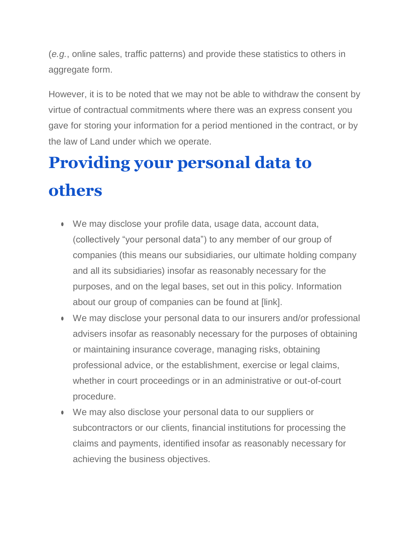(*e.g.*, online sales, traffic patterns) and provide these statistics to others in aggregate form.

However, it is to be noted that we may not be able to withdraw the consent by virtue of contractual commitments where there was an express consent you gave for storing your information for a period mentioned in the contract, or by the law of Land under which we operate.

# **Providing your personal data to others**

- We may disclose your profile data, usage data, account data, (collectively "your personal data") to any member of our group of companies (this means our subsidiaries, our ultimate holding company and all its subsidiaries) insofar as reasonably necessary for the purposes, and on the legal bases, set out in this policy. Information about our group of companies can be found at [link].
- We may disclose your personal data to our insurers and/or professional advisers insofar as reasonably necessary for the purposes of obtaining or maintaining insurance coverage, managing risks, obtaining professional advice, or the establishment, exercise or legal claims, whether in court proceedings or in an administrative or out-of-court procedure.
- We may also disclose your personal data to our suppliers or subcontractors or our clients, financial institutions for processing the claims and payments, identified insofar as reasonably necessary for achieving the business objectives.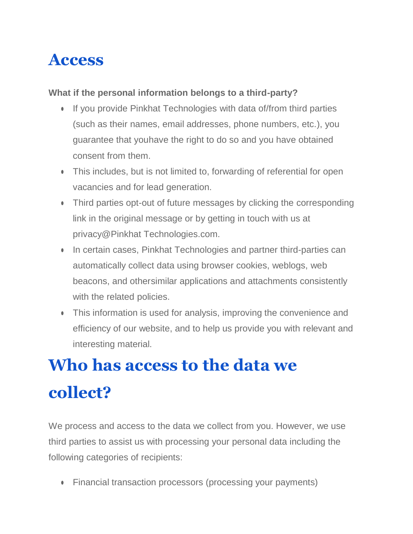#### **Access**

#### **What if the personal information belongs to a third-party?**

- If you provide Pinkhat Technologies with data of/from third parties (such as their names, email addresses, phone numbers, etc.), you guarantee that youhave the right to do so and you have obtained consent from them.
- This includes, but is not limited to, forwarding of referential for open vacancies and for lead generation.
- Third parties opt-out of future messages by clicking the corresponding link in the original message or by getting in touch with us at [privacy@Pinkhat Technologies.com.](mailto:privacy@kaleyra.com)
- In certain cases, Pinkhat Technologies and partner third-parties can automatically collect data using browser cookies, weblogs, web beacons, and othersimilar applications and attachments consistently with the related policies.
- This information is used for analysis, improving the convenience and efficiency of our website, and to help us provide you with relevant and interesting material.

# **Who has access to the data we collect?**

We process and access to the data we collect from you. However, we use third parties to assist us with processing your personal data including the following categories of recipients:

• Financial transaction processors (processing your payments)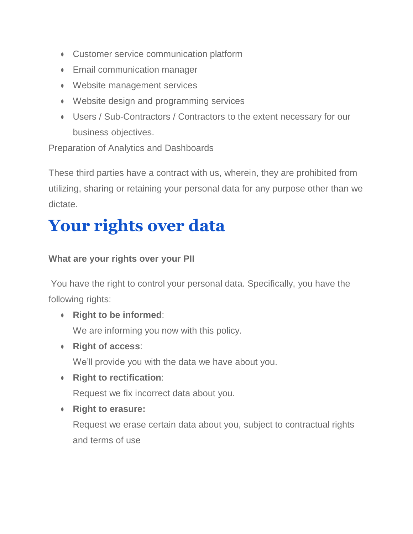- Customer service communication platform
- Email communication manager
- Website management services
- Website design and programming services
- Users / Sub-Contractors / Contractors to the extent necessary for our business objectives.

Preparation of Analytics and Dashboards

These third parties have a contract with us, wherein, they are prohibited from utilizing, sharing or retaining your personal data for any purpose other than we dictate.

### **Your rights over data**

#### **What are your rights over your PII**

You have the right to control your personal data. Specifically, you have the following rights:

● **Right to be informed**:

We are informing you now with this policy.

● **Right of access**:

We'll provide you with the data we have about you.

● **Right to rectification**:

Request we fix incorrect data about you.

● **Right to erasure:**

Request we erase certain data about you, subject to contractual rights and terms of use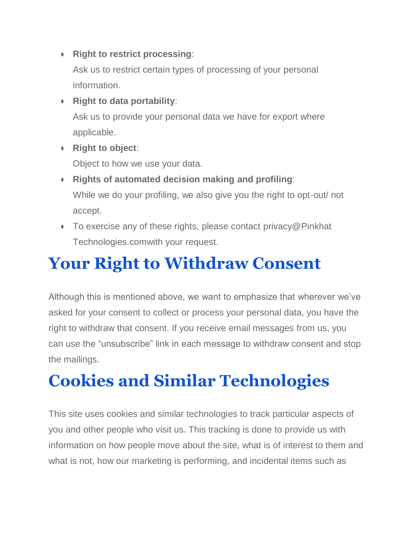● **Right to restrict processing**:

Ask us to restrict certain types of processing of your personal information.

● **Right to data portability**:

Ask us to provide your personal data we have for export where applicable.

● **Right to object**:

Object to how we use your data.

- **Rights of automated decision making and profiling**: While we do your profiling, we also give you the right to opt-out/ not accept.
- To exercise any of these rights, please contact privacy@Pinkhat [Technologies.comw](mailto:privacy@kaleyra.com)ith your request.

### **Your Right to Withdraw Consent**

Although this is mentioned above, we want to emphasize that wherever we've asked for your consent to collect or process your personal data, you have the right to withdraw that consent. If you receive email messages from us, you can use the "unsubscribe" link in each message to withdraw consent and stop the mailings.

### **Cookies and Similar Technologies**

This site uses cookies and similar technologies to track particular aspects of you and other people who visit us. This tracking is done to provide us with information on how people move about the site, what is of interest to them and what is not, how our marketing is performing, and incidental items such as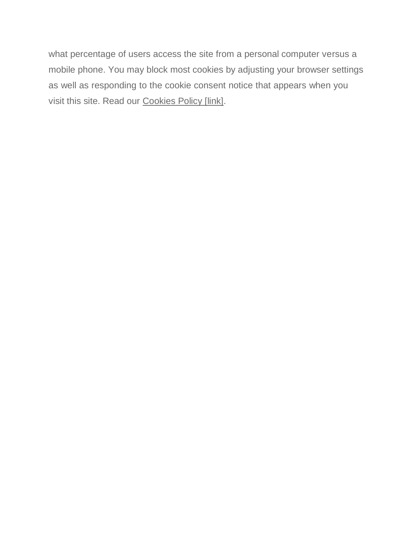what percentage of users access the site from a personal computer versus a mobile phone. You may block most cookies by adjusting your browser settings as well as responding to the cookie consent notice that appears when you visit this site. Read our Cookies Policy [link].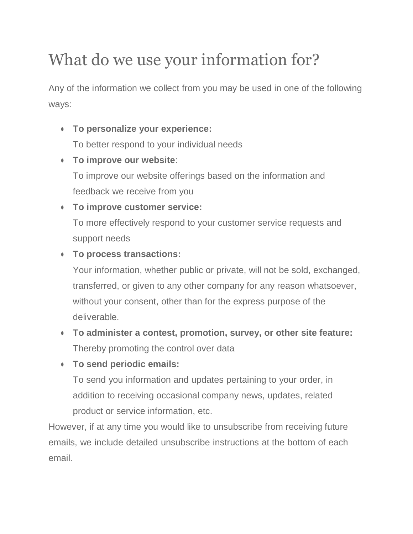# What do we use your information for?

Any of the information we collect from you may be used in one of the following ways:

● **To personalize your experience:**

To better respond to your individual needs

● **To improve our website**:

To improve our website offerings based on the information and feedback we receive from you

● **To improve customer service:**

To more effectively respond to your customer service requests and support needs

#### ● **To process transactions:**

Your information, whether public or private, will not be sold, exchanged, transferred, or given to any other company for any reason whatsoever, without your consent, other than for the express purpose of the deliverable.

- **To administer a contest, promotion, survey, or other site feature:** Thereby promoting the control over data
- **To send periodic emails:**

To send you information and updates pertaining to your order, in addition to receiving occasional company news, updates, related product or service information, etc.

However, if at any time you would like to unsubscribe from receiving future emails, we include detailed unsubscribe instructions at the bottom of each email.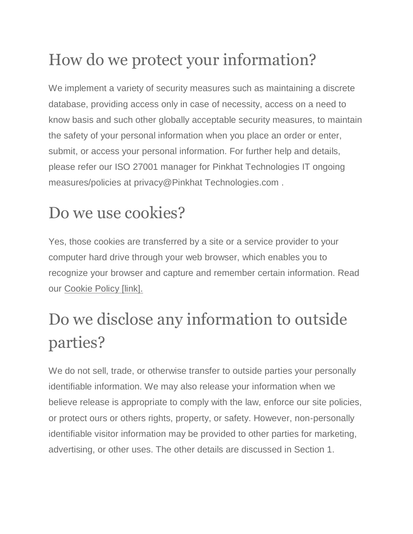# How do we protect your information?

We implement a variety of security measures such as maintaining a discrete database, providing access only in case of necessity, access on a need to know basis and such other globally acceptable security measures, to maintain the safety of your personal information when you place an order or enter, submit, or access your personal information. For further help and details, please refer our ISO 27001 manager for Pinkhat Technologies IT ongoing measures/policies at [privacy@Pinkhat Technologies.com](mailto:privacy@kaleyra.com) .

### Do we use cookies?

Yes, those cookies are transferred by a site or a service provider to your computer hard drive through your web browser, which enables you to recognize your browser and capture and remember certain information. Read our Cookie Policy [link].

# Do we disclose any information to outside parties?

We do not sell, trade, or otherwise transfer to outside parties your personally identifiable information. We may also release your information when we believe release is appropriate to comply with the law, enforce our site policies, or protect ours or others rights, property, or safety. However, non-personally identifiable visitor information may be provided to other parties for marketing, advertising, or other uses. The other details are discussed in Section 1.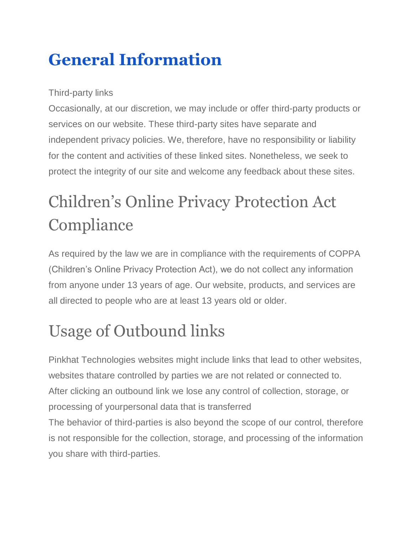# **General Information**

#### Third-party links

Occasionally, at our discretion, we may include or offer third-party products or services on our website. These third-party sites have separate and independent privacy policies. We, therefore, have no responsibility or liability for the content and activities of these linked sites. Nonetheless, we seek to protect the integrity of our site and welcome any feedback about these sites.

# Children's Online Privacy Protection Act **Compliance**

As required by the law we are in compliance with the requirements of COPPA (Children's Online Privacy Protection Act), we do not collect any information from anyone under 13 years of age. Our website, products, and services are all directed to people who are at least 13 years old or older.

# Usage of Outbound links

Pinkhat Technologies websites might include links that lead to other websites, websites thatare controlled by parties we are not related or connected to. After clicking an outbound link we lose any control of collection, storage, or processing of yourpersonal data that is transferred The behavior of third-parties is also beyond the scope of our control, therefore

is not responsible for the collection, storage, and processing of the information you share with third-parties.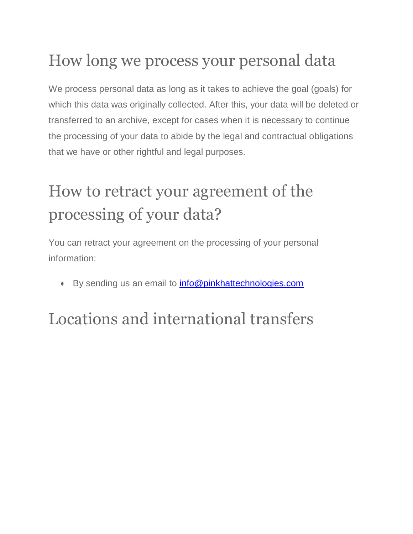### How long we process your personal data

We process personal data as long as it takes to achieve the goal (goals) for which this data was originally collected. After this, your data will be deleted or transferred to an archive, except for cases when it is necessary to continue the processing of your data to abide by the legal and contractual obligations that we have or other rightful and legal purposes.

# How to retract your agreement of the processing of your data?

You can retract your agreement on the processing of your personal information:

● By sending us an email to [info@pinkhattechnologies.com](mailto:info@pinkhattechnologies.com)

# Locations and international transfers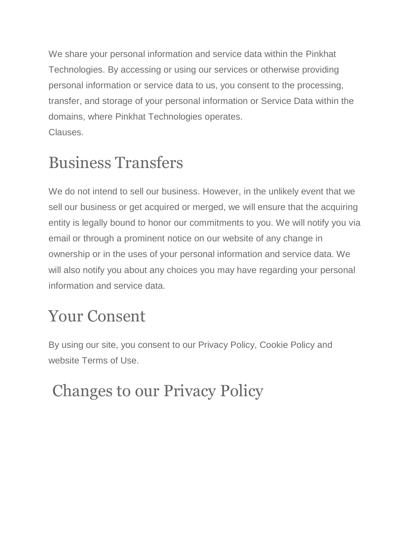We share your personal information and service data within the Pinkhat Technologies. By accessing or using our services or otherwise providing personal information or service data to us, you consent to the processing, transfer, and storage of your personal information or Service Data within the domains, where Pinkhat Technologies operates. Clauses.

# Business Transfers

We do not intend to sell our business. However, in the unlikely event that we sell our business or get acquired or merged, we will ensure that the acquiring entity is legally bound to honor our commitments to you. We will notify you via email or through a prominent notice on our website of any change in ownership or in the uses of your personal information and service data. We will also notify you about any choices you may have regarding your personal information and service data.

### Your Consent

By using our site, you consent to our Privacy Policy, Cookie Policy and website Terms of Use.

# Changes to our Privacy Policy